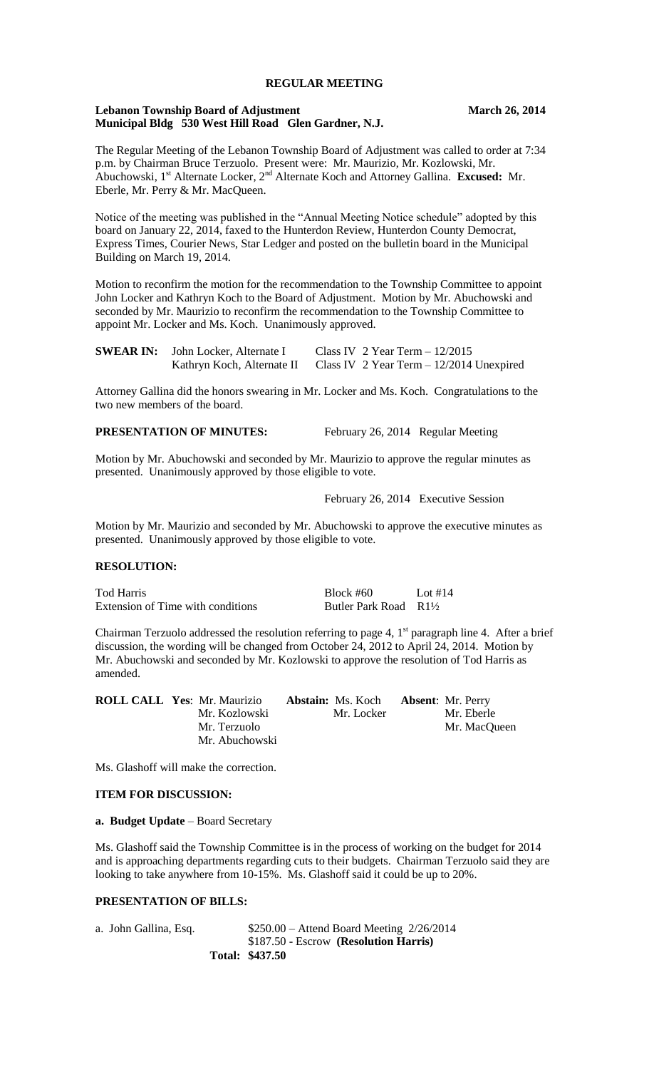# **REGULAR MEETING**

### **Lebanon Township Board of Adjustment March 26, 2014 Municipal Bldg 530 West Hill Road Glen Gardner, N.J.**

The Regular Meeting of the Lebanon Township Board of Adjustment was called to order at 7:34 p.m. by Chairman Bruce Terzuolo. Present were: Mr. Maurizio, Mr. Kozlowski, Mr. Abuchowski, 1<sup>st</sup> Alternate Locker, 2<sup>nd</sup> Alternate Koch and Attorney Gallina. **Excused:** Mr. Eberle, Mr. Perry & Mr. MacQueen.

Notice of the meeting was published in the "Annual Meeting Notice schedule" adopted by this board on January 22, 2014, faxed to the Hunterdon Review, Hunterdon County Democrat, Express Times, Courier News, Star Ledger and posted on the bulletin board in the Municipal Building on March 19, 2014.

Motion to reconfirm the motion for the recommendation to the Township Committee to appoint John Locker and Kathryn Koch to the Board of Adjustment. Motion by Mr. Abuchowski and seconded by Mr. Maurizio to reconfirm the recommendation to the Township Committee to appoint Mr. Locker and Ms. Koch. Unanimously approved.

| <b>SWEAR IN:</b> John Locker, Alternate I | Class IV $2$ Year Term $-12/2015$                                   |
|-------------------------------------------|---------------------------------------------------------------------|
|                                           | Kathryn Koch, Alternate II Class IV 2 Year Term – 12/2014 Unexpired |

Attorney Gallina did the honors swearing in Mr. Locker and Ms. Koch. Congratulations to the two new members of the board.

# **PRESENTATION OF MINUTES:** February 26, 2014 Regular Meeting

Motion by Mr. Abuchowski and seconded by Mr. Maurizio to approve the regular minutes as presented. Unanimously approved by those eligible to vote.

February 26, 2014 Executive Session

Motion by Mr. Maurizio and seconded by Mr. Abuchowski to approve the executive minutes as presented. Unanimously approved by those eligible to vote.

#### **RESOLUTION:**

| Tod Harris                        | $Block \#60$                     | Lot #14 |
|-----------------------------------|----------------------------------|---------|
| Extension of Time with conditions | Butler Park Road $R1\frac{1}{2}$ |         |

Chairman Terzuolo addressed the resolution referring to page 4,  $1<sup>st</sup>$  paragraph line 4. After a brief discussion, the wording will be changed from October 24, 2012 to April 24, 2014. Motion by Mr. Abuchowski and seconded by Mr. Kozlowski to approve the resolution of Tod Harris as amended.

| <b>ROLL CALL Yes: Mr. Maurizio</b> | <b>Abstain:</b> Ms. Koch | <b>Absent:</b> Mr. Perry |
|------------------------------------|--------------------------|--------------------------|
| Mr. Kozlowski                      | Mr. Locker               | Mr. Eberle               |
| Mr. Terzuolo                       |                          | Mr. MacQueen             |
| Mr. Abuchowski                     |                          |                          |

Ms. Glashoff will make the correction.

#### **ITEM FOR DISCUSSION:**

## **a. Budget Update** – Board Secretary

Ms. Glashoff said the Township Committee is in the process of working on the budget for 2014 and is approaching departments regarding cuts to their budgets. Chairman Terzuolo said they are looking to take anywhere from 10-15%. Ms. Glashoff said it could be up to 20%.

## **PRESENTATION OF BILLS:**

|                        | Total: \$437.50                              |
|------------------------|----------------------------------------------|
|                        | \$187.50 - Escrow (Resolution Harris)        |
| a.  John Gallina, Esq. | $$250.00 -$ Attend Board Meeting $2/26/2014$ |